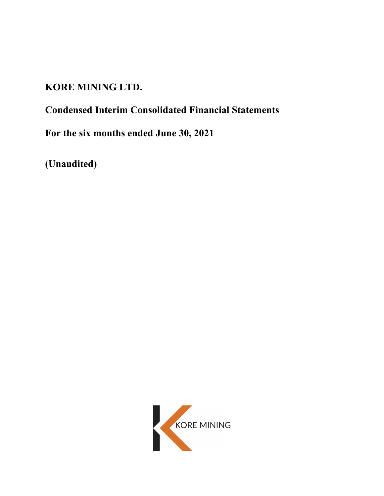# **KORE MINING LTD.**

# **Condensed Interim Consolidated Financial Statements**

**For the six months ended June 30, 2021** 

**(Unaudited)** 

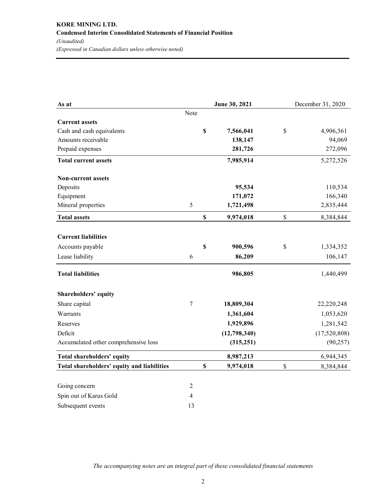| As at                                      |                |             | June 30, 2021 | December 31, 2020 |
|--------------------------------------------|----------------|-------------|---------------|-------------------|
|                                            | Note           |             |               |                   |
| <b>Current assets</b>                      |                |             |               |                   |
| Cash and cash equivalents                  |                | \$          | 7,566,041     | \$<br>4,906,361   |
| Amounts receivable                         |                |             | 138,147       | 94,069            |
| Prepaid expenses                           |                |             | 281,726       | 272,096           |
| <b>Total current assets</b>                |                |             | 7,985,914     | 5,272,526         |
| <b>Non-current assets</b>                  |                |             |               |                   |
| Deposits                                   |                |             | 95,534        | 110,534           |
| Equipment                                  |                |             | 171,072       | 166,340           |
| Mineral properties                         | 5              |             | 1,721,498     | 2,835,444         |
| <b>Total assets</b>                        |                | \$          | 9,974,018     | \$<br>8,384,844   |
| <b>Current liabilities</b>                 |                |             |               |                   |
| Accounts payable                           |                | $\mathbf S$ | 900,596       | \$<br>1,334,352   |
| Lease liability                            | 6              |             | 86,209        | 106,147           |
| <b>Total liabilities</b>                   |                |             | 986,805       | 1,440,499         |
| <b>Shareholders' equity</b>                |                |             |               |                   |
| Share capital                              | $\overline{7}$ |             | 18,809,304    | 22,220,248        |
| Warrants                                   |                |             | 1,361,604     | 1,053,620         |
| Reserves                                   |                |             | 1,929,896     | 1,281,542         |
| Deficit                                    |                |             | (12,798,340)  | (17,520,808)      |
| Accumulated other comprehensive loss       |                |             | (315, 251)    | (90, 257)         |
| Total shareholders' equity                 |                |             | 8,987,213     | 6,944,345         |
| Total shareholders' equity and liabilities |                | \$          | 9,974,018     | \$<br>8,384,844   |
| Going concern                              | 2              |             |               |                   |
| Spin out of Karus Gold                     | $\overline{4}$ |             |               |                   |
| Subsequent events                          | 13             |             |               |                   |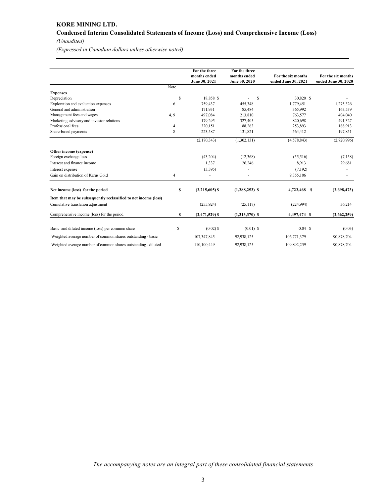# **KORE MINING LTD. Condensed Interim Consolidated Statements of Income (Loss) and Comprehensive Income (Loss)**  *(Unaudited)*

*(Expressed in Canadian dollars unless otherwise noted)* 

|                                                                 |      | For the three    | For the three    |                     |                     |
|-----------------------------------------------------------------|------|------------------|------------------|---------------------|---------------------|
|                                                                 |      | months ended     | months ended     | For the six months  | For the six months  |
|                                                                 |      | June 30, 2021    | June 30, 2020    | ended June 30, 2021 | ended June 30, 2020 |
|                                                                 | Note |                  |                  |                     |                     |
| <b>Expenses</b>                                                 |      |                  |                  |                     |                     |
| Depreciation                                                    | \$   | 18,858 \$        | S                | 30,820 \$           |                     |
| Exploration and evaluation expenses                             | 6    | 759,437          | 455,348          | 1,779,451           | 1,275,326           |
| General and administration                                      |      | 171,931          | 85,484           | 365,992             | 163,539             |
| Management fees and wages                                       | 4, 9 | 497,084          | 213,810          | 763,577             | 404,040             |
| Marketing, advisory and investor relations                      |      | 179,295          | 327,405          | 820,698             | 491,327             |
| Professional fees                                               | 4    | 320,151          | 88,263           | 253,893             | 188,913             |
| Share-based payments                                            | 8    | 223,587          | 131,821          | 564,412             | 197,851             |
|                                                                 |      | (2,170,343)      | (1,302,131)      | (4,578,843)         | (2,720,996)         |
| Other income (expense)                                          |      |                  |                  |                     |                     |
| Foreign exchange loss                                           |      | (43,204)         | (12,368)         | (55,516)            | (7,158)             |
| Interest and finance income                                     |      | 1,337            | 26,246           | 8.913               | 29,681              |
| Interest expense                                                |      | (3,395)          |                  | (7,192)             |                     |
| Gain on distribution of Karus Gold                              | 4    |                  |                  | 9,355,106           |                     |
| Net income (loss) for the period                                | \$   | $(2,215,605)$ \$ | $(1,288,253)$ \$ | 4,722,468 \$        | (2,698,473)         |
| Item that may be subsequently reclassified to net income (loss) |      |                  |                  |                     |                     |
| Cumulative translation adjustment                               |      | (255, 924)       | (25, 117)        | (224.994)           | 36,214              |
| Comprehensive income (loss) for the period                      | \$   | $(2,471,529)$ \$ | $(1,313,370)$ \$ | 4,497,474 \$        | (2,662,259)         |
| Basic and diluted income (loss) per common share                | S    | $(0.02)$ \$      | $(0.01)$ \$      | $0.04$ \$           | (0.03)              |
| Weighted average number of common shares outstanding - basic    |      | 107,347,845      | 92,938,125       | 106,771,379         | 90,878,704          |
| Weighted average number of common shares outstanding - diluted  |      | 110,100,449      | 92,938,125       | 109,892,259         | 90,878,704          |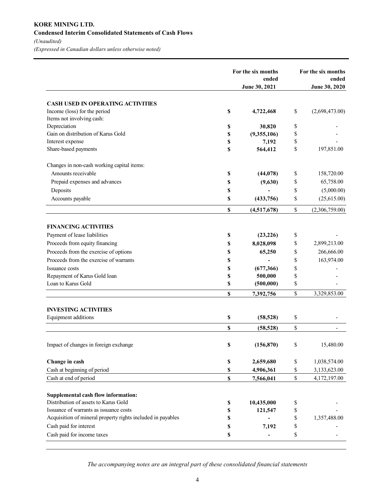# **KORE MINING LTD. Condensed Interim Consolidated Statements of Cash Flows**  *(Unaudited)*

*(Expressed in Canadian dollars unless otherwise noted)* 

|                                                             | For the six months<br>ended |                              | For the six months<br>ended |                |  |
|-------------------------------------------------------------|-----------------------------|------------------------------|-----------------------------|----------------|--|
|                                                             |                             | June 30, 2021                |                             | June 30, 2020  |  |
| <b>CASH USED IN OPERATING ACTIVITIES</b>                    |                             |                              |                             |                |  |
| Income (loss) for the period                                | \$                          | 4,722,468                    | \$                          | (2,698,473.00) |  |
| Items not involving cash:                                   |                             |                              |                             |                |  |
| Depreciation                                                | \$                          | 30,820                       | \$                          |                |  |
| Gain on distribution of Karus Gold                          | \$                          | (9,355,106)                  | \$                          |                |  |
| Interest expense                                            | \$                          | 7,192                        | \$                          |                |  |
| Share-based payments                                        | \$                          | 564,412                      | \$                          | 197,851.00     |  |
| Changes in non-cash working capital items:                  |                             |                              |                             |                |  |
| Amounts receivable                                          | \$                          | (44, 078)                    | \$                          | 158,720.00     |  |
| Prepaid expenses and advances                               | \$                          | (9,630)                      | \$                          | 65,758.00      |  |
| Deposits                                                    | \$                          |                              | \$                          | (5,000.00)     |  |
| Accounts payable                                            | \$                          | (433,756)                    | \$                          | (25,615.00)    |  |
|                                                             | \$                          | (4,517,678)                  | \$                          | (2,306,759.00) |  |
| <b>FINANCING ACTIVITIES</b>                                 |                             |                              |                             |                |  |
| Payment of lease liabilities                                | \$                          | (23, 226)                    | \$                          |                |  |
| Proceeds from equity financing                              | \$                          | 8,028,098                    | \$                          | 2,899,213.00   |  |
| Proceeds from the exercise of options                       | \$                          | 65,250                       | \$                          | 266,666.00     |  |
| Proceeds from the exercise of warrants                      | \$                          |                              | \$                          | 163,974.00     |  |
| Issuance costs                                              | \$                          | (677, 366)                   | \$                          |                |  |
| Repayment of Karus Gold loan                                | \$                          | 500,000                      | \$                          |                |  |
| Loan to Karus Gold                                          | \$                          | (500,000)                    | \$                          |                |  |
|                                                             | S                           | 7,392,756                    | \$                          | 3,329,853.00   |  |
| <b>INVESTING ACTIVITIES</b>                                 |                             |                              |                             |                |  |
| Equipment additions                                         | \$                          | (58, 528)                    | \$                          |                |  |
|                                                             | \$                          | (58, 528)                    | \$                          |                |  |
| Impact of changes in foreign exchange                       | \$                          | (156, 870)                   | \$                          | 15,480.00      |  |
| Change in cash                                              | $\mathbb S$                 | 2,659,680                    | \$                          | 1,038,574.00   |  |
| Cash at beginning of period                                 | \$                          | 4,906,361                    | \$                          | 3,133,623.00   |  |
| Cash at end of period                                       | $\mathbf S$                 | 7,566,041                    | \$                          | 4,172,197.00   |  |
| <b>Supplemental cash flow information:</b>                  |                             |                              |                             |                |  |
| Distribution of assets to Karus Gold                        | $\mathbb S$                 | 10,435,000                   | \$                          |                |  |
| Issuance of warrants as issuance costs                      | $\mathbb S$                 | 121,547                      | \$                          |                |  |
| Acquisition of mineral property rights included in payables | \$                          |                              | \$                          | 1,357,488.00   |  |
| Cash paid for interest                                      | \$                          | 7,192                        | \$                          |                |  |
| Cash paid for income taxes                                  | \$                          | $\qquad \qquad \blacksquare$ | \$                          |                |  |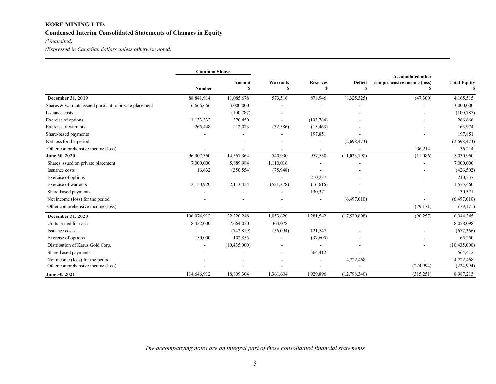# **KORE MINING LTD. Condensed Interim Consolidated Statements of Changes in Equity**

# *(Unaudited)*

*(Expressed in Canadian dollars unless otherwise noted)* 

|                                                        | <b>Common Shares</b> |                |            |                 |              |                                                         |                     |
|--------------------------------------------------------|----------------------|----------------|------------|-----------------|--------------|---------------------------------------------------------|---------------------|
|                                                        |                      | Amount         | Warrants   | <b>Reserves</b> | Deficit      | <b>Accumulated other</b><br>comprehensive income (loss) | <b>Total Equity</b> |
|                                                        | Number               | S              | S          |                 | S            |                                                         |                     |
| December 31, 2019                                      | 88,841,914           | 11,085,678     | 573,516    | 878,946         | (8,325,325)  | (47,300)                                                | 4,165,515           |
| Shares & warrants issued pursuant to private placement | 6,666,666            | 3,000,000      |            |                 |              |                                                         | 3,000,000           |
| Issuance costs                                         |                      | (100, 787)     |            |                 |              |                                                         | (100, 787)          |
| Exercise of options                                    | 1,133,332            | 370,450        |            | (103, 784)      |              |                                                         | 266,666             |
| Exercise of warrants                                   | 265,448              | 212,023        | (32, 586)  | (15, 463)       |              |                                                         | 163,974             |
| Share-based payments                                   |                      |                |            | 197,851         |              |                                                         | 197,851             |
| Net loss for the period                                |                      |                |            |                 | (2,698,473)  |                                                         | (2,698,473)         |
| Other comprehensive income (loss)                      |                      |                |            |                 |              | 36,214                                                  | 36,214              |
| June 30, 2020                                          | 96,907,360           | 14,567,364     | 540,930    | 957,550         | (11,023,798) | (11,086)                                                | 5,030,960           |
| Shares issued on private placement                     | 7,000,000            | 5,889,984      | 1,110,016  |                 |              |                                                         | 7,000,000           |
| Issuance costs                                         | 16,632               | (350, 554)     | (75,948)   |                 |              |                                                         | (426,502)           |
| Exercise of options                                    |                      |                |            | 210,237         |              |                                                         | 210,237             |
| Exercise of warrants                                   | 2,150,920            | 2,113,454      | (521, 378) | (16,616)        |              |                                                         | 1,575,460           |
| Share-based payments                                   |                      |                |            | 130,371         |              |                                                         | 130,371             |
| Net income (loss) for the period                       |                      |                |            |                 | (6,497,010)  |                                                         | (6,497,010)         |
| Other comprehensive income (loss)                      |                      |                |            |                 |              | (79, 171)                                               | (79, 171)           |
| <b>December 31, 2020</b>                               | 106,074,912          | 22,220,248     | 1,053,620  | 1,281,542       | (17,520,808) | (90, 257)                                               | 6,944,345           |
| Units issued for cash                                  | 8,422,000            | 7,664,020      | 364,078    |                 |              |                                                         | 8,028,098           |
| Issuance costs                                         |                      | (742, 819)     | (56,094)   | 121,547         |              |                                                         | (677, 366)          |
| Exercise of options                                    | 150,000              | 102,855        |            | (37,605)        |              |                                                         | 65,250              |
| Distribution of Karus Gold Corp.                       |                      | (10, 435, 000) |            |                 |              |                                                         | (10, 435, 000)      |
| Share-based payments                                   |                      |                |            | 564,412         |              |                                                         | 564,412             |
| Net income (loss) for the period                       |                      |                |            |                 | 4,722,468    |                                                         | 4,722,468           |
| Other comprehensive income (loss)                      |                      |                |            |                 |              | (224, 994)                                              | (224, 994)          |
| June 30, 2021                                          | 114,646,912          | 18,809,304     | 1.361.604  | 1,929,896       | (12,798,340) | (315,251)                                               | 8,987,213           |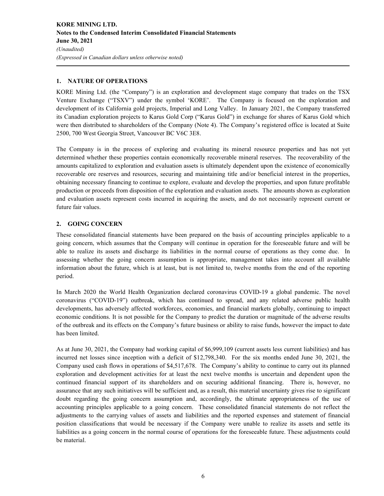# **1. NATURE OF OPERATIONS**

KORE Mining Ltd. (the "Company") is an exploration and development stage company that trades on the TSX Venture Exchange ("TSXV") under the symbol 'KORE'. The Company is focused on the exploration and development of its California gold projects, Imperial and Long Valley. In January 2021, the Company transferred its Canadian exploration projects to Karus Gold Corp ("Karus Gold") in exchange for shares of Karus Gold which were then distributed to shareholders of the Company (Note 4). The Company's registered office is located at Suite 2500, 700 West Georgia Street, Vancouver BC V6C 3E8.

The Company is in the process of exploring and evaluating its mineral resource properties and has not yet determined whether these properties contain economically recoverable mineral reserves. The recoverability of the amounts capitalized to exploration and evaluation assets is ultimately dependent upon the existence of economically recoverable ore reserves and resources, securing and maintaining title and/or beneficial interest in the properties, obtaining necessary financing to continue to explore, evaluate and develop the properties, and upon future profitable production or proceeds from disposition of the exploration and evaluation assets. The amounts shown as exploration and evaluation assets represent costs incurred in acquiring the assets, and do not necessarily represent current or future fair values.

# **2. GOING CONCERN**

These consolidated financial statements have been prepared on the basis of accounting principles applicable to a going concern, which assumes that the Company will continue in operation for the foreseeable future and will be able to realize its assets and discharge its liabilities in the normal course of operations as they come due. In assessing whether the going concern assumption is appropriate, management takes into account all available information about the future, which is at least, but is not limited to, twelve months from the end of the reporting period.

In March 2020 the World Health Organization declared coronavirus COVID-19 a global pandemic. The novel coronavirus ("COVID-19") outbreak, which has continued to spread, and any related adverse public health developments, has adversely affected workforces, economies, and financial markets globally, continuing to impact economic conditions. It is not possible for the Company to predict the duration or magnitude of the adverse results of the outbreak and its effects on the Company's future business or ability to raise funds, however the impact to date has been limited.

As at June 30, 2021, the Company had working capital of \$6,999,109 (current assets less current liabilities) and has incurred net losses since inception with a deficit of \$12,798,340. For the six months ended June 30, 2021, the Company used cash flows in operations of \$4,517,678. The Company's ability to continue to carry out its planned exploration and development activities for at least the next twelve months is uncertain and dependent upon the continued financial support of its shareholders and on securing additional financing. There is, however, no assurance that any such initiatives will be sufficient and, as a result, this material uncertainty gives rise to significant doubt regarding the going concern assumption and, accordingly, the ultimate appropriateness of the use of accounting principles applicable to a going concern. These consolidated financial statements do not reflect the adjustments to the carrying values of assets and liabilities and the reported expenses and statement of financial position classifications that would be necessary if the Company were unable to realize its assets and settle its liabilities as a going concern in the normal course of operations for the foreseeable future. These adjustments could be material.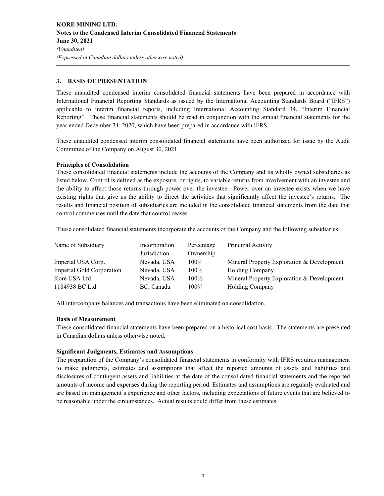# **3. BASIS OF PRESENTATION**

These unaudited condensed interim consolidated financial statements have been prepared in accordance with International Financial Reporting Standards as issued by the International Accounting Standards Board ("IFRS") applicable to interim financial reports, including International Accounting Standard 34, "Interim Financial Reporting". These financial statements should be read in conjunction with the annual financial statements for the year ended December 31, 2020, which have been prepared in accordance with IFRS.

These unaudited condensed interim consolidated financial statements have been authorized for issue by the Audit Committee of the Company on August 30, 2021.

## **Principles of Consolidation**

These consolidated financial statements include the accounts of the Company and its wholly owned subsidiaries as listed below. Control is defined as the exposure, or rights, to variable returns from involvement with an investee and the ability to affect those returns through power over the investee. Power over an investee exists when we have existing rights that give us the ability to direct the activities that significantly affect the investee's returns. The results and financial position of subsidiaries are included in the consolidated financial statements from the date that control commences until the date that control ceases.

These consolidated financial statements incorporate the accounts of the Company and the following subsidiaries:

| Name of Subsidiary        | Incorporation | Percentage | Principal Activity                         |
|---------------------------|---------------|------------|--------------------------------------------|
|                           | Jurisdiction  | Ownership  |                                            |
| Imperial USA Corp.        | Nevada, USA   | $100\%$    | Mineral Property Exploration & Development |
| Imperial Gold Corporation | Nevada, USA   | $100\%$    | <b>Holding Company</b>                     |
| Kore USA Ltd.             | Nevada, USA   | $100\%$    | Mineral Property Exploration & Development |
| 1184938 BC Ltd.           | BC, Canada    | $100\%$    | Holding Company                            |

All intercompany balances and transactions have been eliminated on consolidation.

# **Basis of Measurement**

These consolidated financial statements have been prepared on a historical cost basis. The statements are presented in Canadian dollars unless otherwise noted.

#### **Significant Judgments, Estimates and Assumptions**

The preparation of the Company's consolidated financial statements in conformity with IFRS requires management to make judgments, estimates and assumptions that affect the reported amounts of assets and liabilities and disclosures of contingent assets and liabilities at the date of the consolidated financial statements and the reported amounts of income and expenses during the reporting period. Estimates and assumptions are regularly evaluated and are based on management's experience and other factors, including expectations of future events that are believed to be reasonable under the circumstances. Actual results could differ from these estimates.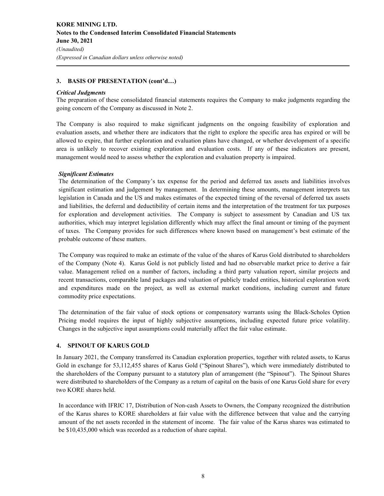# **3. BASIS OF PRESENTATION (cont'd…)**

#### *Critical Judgments*

The preparation of these consolidated financial statements requires the Company to make judgments regarding the going concern of the Company as discussed in Note 2.

The Company is also required to make significant judgments on the ongoing feasibility of exploration and evaluation assets, and whether there are indicators that the right to explore the specific area has expired or will be allowed to expire, that further exploration and evaluation plans have changed, or whether development of a specific area is unlikely to recover existing exploration and evaluation costs. If any of these indicators are present, management would need to assess whether the exploration and evaluation property is impaired.

## *Significant Estimates*

The determination of the Company's tax expense for the period and deferred tax assets and liabilities involves significant estimation and judgement by management. In determining these amounts, management interprets tax legislation in Canada and the US and makes estimates of the expected timing of the reversal of deferred tax assets and liabilities, the deferral and deductibility of certain items and the interpretation of the treatment for tax purposes for exploration and development activities. The Company is subject to assessment by Canadian and US tax authorities, which may interpret legislation differently which may affect the final amount or timing of the payment of taxes. The Company provides for such differences where known based on management's best estimate of the probable outcome of these matters.

The Company was required to make an estimate of the value of the shares of Karus Gold distributed to shareholders of the Company (Note 4). Karus Gold is not publicly listed and had no observable market price to derive a fair value. Management relied on a number of factors, including a third party valuation report, similar projects and recent transactions, comparable land packages and valuation of publicly traded entities, historical exploration work and expenditures made on the project, as well as external market conditions, including current and future commodity price expectations.

The determination of the fair value of stock options or compensatory warrants using the Black-Scholes Option Pricing model requires the input of highly subjective assumptions, including expected future price volatility. Changes in the subjective input assumptions could materially affect the fair value estimate.

#### **4. SPINOUT OF KARUS GOLD**

In January 2021, the Company transferred its Canadian exploration properties, together with related assets, to Karus Gold in exchange for 53,112,455 shares of Karus Gold ("Spinout Shares"), which were immediately distributed to the shareholders of the Company pursuant to a statutory plan of arrangement (the "Spinout"). The Spinout Shares were distributed to shareholders of the Company as a return of capital on the basis of one Karus Gold share for every two KORE shares held.

In accordance with IFRIC 17, Distribution of Non-cash Assets to Owners, the Company recognized the distribution of the Karus shares to KORE shareholders at fair value with the difference between that value and the carrying amount of the net assets recorded in the statement of income. The fair value of the Karus shares was estimated to be \$10,435,000 which was recorded as a reduction of share capital.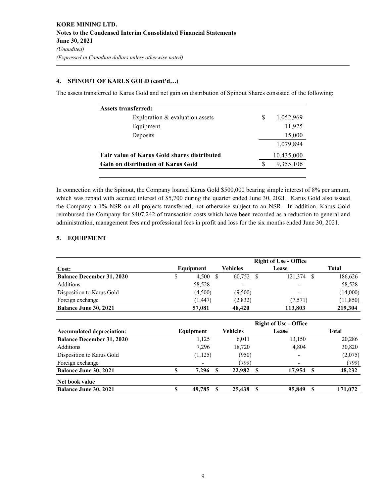# **4. SPINOUT OF KARUS GOLD (cont'd…)**

The assets transferred to Karus Gold and net gain on distribution of Spinout Shares consisted of the following:

| Assets transferred:                                |   |            |
|----------------------------------------------------|---|------------|
| Exploration & evaluation assets                    | S | 1,052,969  |
| Equipment                                          |   | 11,925     |
| Deposits                                           |   | 15,000     |
|                                                    |   | 1.079.894  |
| <b>Fair value of Karus Gold shares distributed</b> |   | 10,435,000 |
| <b>Gain on distribution of Karus Gold</b>          |   | 9,355,106  |

In connection with the Spinout, the Company loaned Karus Gold \$500,000 bearing simple interest of 8% per annum, which was repaid with accrued interest of \$5,700 during the quarter ended June 30, 2021. Karus Gold also issued the Company a 1% NSR on all projects transferred, not otherwise subject to an NSR. In addition, Karus Gold reimbursed the Company for \$407,242 of transaction costs which have been recorded as a reduction to general and administration, management fees and professional fees in profit and loss for the six months ended June 30, 2021.

# **5. EQUIPMENT**

|                                  |              |    |                 |   | <b>Right of Use - Office</b> |     |              |
|----------------------------------|--------------|----|-----------------|---|------------------------------|-----|--------------|
| Cost:                            | Equipment    |    | Vehicles        |   | Lease                        |     | <b>Total</b> |
| <b>Balance December 31, 2020</b> | \$<br>4,500  | \$ | 60,752          | S | 121,374                      | \$. | 186,626      |
| Additions                        | 58,528       |    |                 |   |                              |     | 58,528       |
| Disposition to Karus Gold        | (4,500)      |    | (9,500)         |   |                              |     | (14,000)     |
| Foreign exchange                 | (1, 447)     |    | (2,832)         |   | (7,571)                      |     | (11, 850)    |
| Balance June 30, 2021            | 57,081       |    | 48,420          |   | 113,803                      |     | 219,304      |
|                                  |              |    |                 |   | <b>Right of Use - Office</b> |     |              |
| <b>Accumulated depreciation:</b> | Equipment    |    | <b>Vehicles</b> |   | Lease                        |     | <b>Total</b> |
| <b>Balance December 31, 2020</b> | 1,125        |    | 6,011           |   | 13,150                       |     | 20,286       |
| Additions                        | 7,296        |    | 18,720          |   | 4,804                        |     | 30,820       |
| Disposition to Karus Gold        | (1, 125)     |    | (950)           |   |                              |     | (2,075)      |
| Foreign exchange                 |              |    | (799)           |   |                              |     | (799)        |
| <b>Balance June 30, 2021</b>     | \$<br>7,296  | S  | 22,982          | S | 17,954                       | S   | 48,232       |
| Net book value                   |              |    |                 |   |                              |     |              |
| <b>Balance June 30, 2021</b>     | \$<br>49,785 | S  | 25,438          | S | 95,849                       | S   | 171,072      |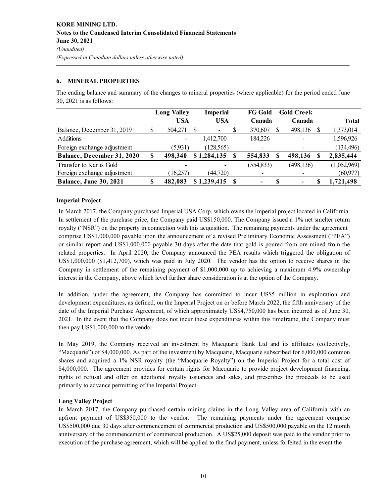# **6. MINERAL PROPERTIES**

**Long Valley USA Imperial USA FG Gold Canada Gold Creek Canada Total** Balance, December 31, 2019 \$ 504,271 \$ - \$ 370,607 \$ 498,136 \$ 1,373,014 Additions 1,412,700 184,226 - 1,596,926 Foreign exchange adjustment (5,931) (128,565) - (134,496) **Balance, December 31, 2020 \$ 498,340 \$ 1,284,135 \$ 554,833 \$ 498,136 \$ 2,835,444** Transfer to Karus Gold **-** (554,833) (498,136) (1,052,969)

Foreign exchange adjustment (16,257) (44,720) - - (60,977) **Balance, June 30, 2021 \$ 482,083 \$ 1,239,415 \$ - \$ - \$ 1,721,498**

The ending balance and summary of the changes to mineral properties (where applicable) for the period ended June 30, 2021 is as follows:

# **Imperial Project**

In March 2017, the Company purchased Imperial USA Corp. which owns the Imperial project located in California. In settlement of the purchase price, the Company paid US\$150,000. The Company issued a 1% net smelter return royalty ("NSR") on the property in connection with this acquisition. The remaining payments under the agreement comprise US\$1,000,000 payable upon the announcement of a revised Preliminary Economic Assessment ("PEA") or similar report and US\$1,000,000 payable 30 days after the date that gold is poured from ore mined from the related properties. In April 2020, the Company announced the PEA results which triggered the obligation of US\$1,000,000 (\$1,412,700), which was paid in July 2020. The vendor has the option to receive shares in the Company in settlement of the remaining payment of \$1,000,000 up to achieving a maximum 4.9% ownership interest in the Company, above which level further share consideration is at the option of the Company.

In addition, under the agreement, the Company has committed to incur US\$5 million in exploration and development expenditures, as defined, on the Imperial Project on or before March 2022, the fifth anniversary of the date of the Imperial Purchase Agreement, of which approximately US\$4,750,000 has been incurred as of June 30, 2021. In the event that the Company does not incur these expenditures within this timeframe, the Company must then pay US\$1,000,000 to the vendor.

In May 2019, the Company received an investment by Macquarie Bank Ltd and its affiliates (collectively, "Macquarie") of \$4,000,000. As part of the investment by Macquarie, Macquarie subscribed for 6,000,000 common shares and acquired a 1% NSR royalty (the "Macquarie Royalty") on the Imperial Project for a total cost of \$4,000,000. The agreement provides for certain rights for Macquarie to provide project development financing, rights of refusal and offer on additional royalty issuances and sales, and prescribes the proceeds to be used primarily to advance permitting of the Imperial Project.

# **Long Valley Project**

In March 2017, the Company purchased certain mining claims in the Long Valley area of California with an upfront payment of US\$350,000 to the vendor. The remaining payments under the agreement comprise US\$500,000 due 30 days after commencement of commercial production and US\$500,000 payable on the 12 month anniversary of the commencement of commercial production. A US\$25,000 deposit was paid to the vendor prior to execution of the purchase agreement, which will be applied to the final payment, unless forfeited in the event the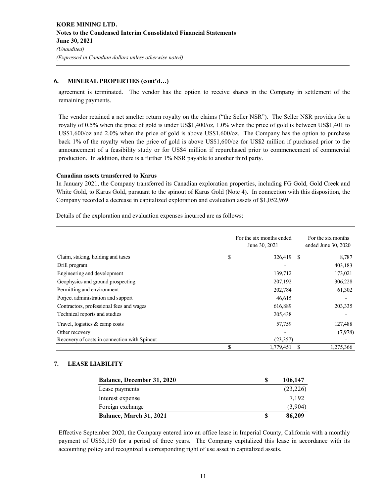# **6. MINERAL PROPERTIES (cont'd…)**

agreement is terminated. The vendor has the option to receive shares in the Company in settlement of the remaining payments.

The vendor retained a net smelter return royalty on the claims ("the Seller NSR"). The Seller NSR provides for a royalty of 0.5% when the price of gold is under US\$1,400/oz, 1.0% when the price of gold is between US\$1,401 to US\$1,600/oz and 2.0% when the price of gold is above US\$1,600/oz. The Company has the option to purchase back 1% of the royalty when the price of gold is above US\$1,600/oz for US\$2 million if purchased prior to the announcement of a feasibility study or for US\$4 million if repurchased prior to commencement of commercial production. In addition, there is a further 1% NSR payable to another third party.

# **Canadian assets transferred to Karus**

In January 2021, the Company transferred its Canadian exploration properties, including FG Gold, Gold Creek and White Gold, to Karus Gold, pursuant to the spinout of Karus Gold (Note 4). In connection with this disposition, the Company recorded a decrease in capitalized exploration and evaluation assets of \$1,052,969.

Details of the exploration and evaluation expenses incurred are as follows:

|                                              |    | For the six months ended<br>June 30, 2021 | For the six months<br>ended June 30, 2020 |
|----------------------------------------------|----|-------------------------------------------|-------------------------------------------|
| Claim, staking, holding and taxes            | \$ | 326,419 \$                                | 8,787                                     |
| Drill program                                |    |                                           | 403,183                                   |
| Engineering and development                  |    | 139,712                                   | 173,021                                   |
| Geophysics and ground prospecting            |    | 207,192                                   | 306,228                                   |
| Permitting and environment                   |    | 202,784                                   | 61,302                                    |
| Porject administration and support           |    | 46,615                                    |                                           |
| Contractors, professional fees and wages     |    | 616,889                                   | 203,335                                   |
| Technical reports and studies                |    | 205,438                                   |                                           |
| Travel, logistics & camp costs               |    | 57,759                                    | 127,488                                   |
| Other recovery                               |    |                                           | (7,978)                                   |
| Recovery of costs in connection with Spinout |    | (23, 357)                                 |                                           |
|                                              | S  | 1,779,451                                 | 1,275,366                                 |

# **7. LEASE LIABILITY**

| Balance, December 31, 2020 |   | 106,147  |
|----------------------------|---|----------|
| Lease payments             |   | (23,226) |
| Interest expense           |   | 7.192    |
| Foreign exchange           |   | (3,904)  |
| Balance, March 31, 2021    | S | 86,209   |

Effective September 2020, the Company entered into an office lease in Imperial County, California with a monthly payment of US\$3,150 for a period of three years. The Company capitalized this lease in accordance with its accounting policy and recognized a corresponding right of use asset in capitalized assets.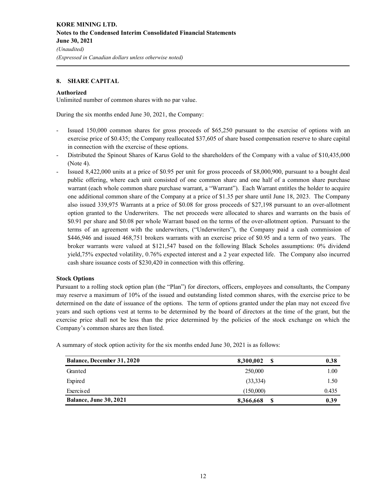## **8. SHARE CAPITAL**

#### **Authorized**

Unlimited number of common shares with no par value.

During the six months ended June 30, 2021, the Company:

- Issued 150,000 common shares for gross proceeds of \$65,250 pursuant to the exercise of options with an exercise price of \$0.435; the Company reallocated \$37,605 of share based compensation reserve to share capital in connection with the exercise of these options.
- Distributed the Spinout Shares of Karus Gold to the shareholders of the Company with a value of \$10,435,000 (Note 4).
- Issued 8,422,000 units at a price of \$0.95 per unit for gross proceeds of \$8,000,900, pursuant to a bought deal public offering, where each unit consisted of one common share and one half of a common share purchase warrant (each whole common share purchase warrant, a "Warrant"). Each Warrant entitles the holder to acquire one additional common share of the Company at a price of \$1.35 per share until June 18, 2023. The Company also issued 339,975 Warrants at a price of \$0.08 for gross proceeds of \$27,198 pursuant to an over-allotment option granted to the Underwriters. The net proceeds were allocated to shares and warrants on the basis of \$0.91 per share and \$0.08 per whole Warrant based on the terms of the over-allotment option. Pursuant to the terms of an agreement with the underwriters, ("Underwriters"), the Company paid a cash commission of \$446,946 and issued 468,751 brokers warrants with an exercise price of \$0.95 and a term of two years. The broker warrants were valued at \$121,547 based on the following Black Scholes assumptions: 0% dividend yield,75% expected volatility, 0.76% expected interest and a 2 year expected life. The Company also incurred cash share issuance costs of \$230,420 in connection with this offering.

#### **Stock Options**

Pursuant to a rolling stock option plan (the "Plan") for directors, officers, employees and consultants, the Company may reserve a maximum of 10% of the issued and outstanding listed common shares, with the exercise price to be determined on the date of issuance of the options. The term of options granted under the plan may not exceed five years and such options vest at terms to be determined by the board of directors at the time of the grant, but the exercise price shall not be less than the price determined by the policies of the stock exchange on which the Company's common shares are then listed.

A summary of stock option activity for the six months ended June 30, 2021 is as follows:

| Balance, December 31, 2020 | 8,300,002<br>S | 0.38  |
|----------------------------|----------------|-------|
| Granted                    | 250,000        | 1.00  |
| Expired                    | (33, 334)      | 1.50  |
| Exercised                  | (150,000)      | 0.435 |
| Balance, June 30, 2021     | S<br>8,366,668 | 0.39  |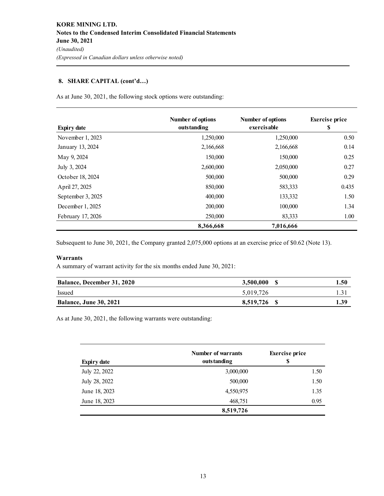# **8. SHARE CAPITAL (cont'd…)**

As at June 30, 2021, the following stock options were outstanding:

| <b>Expiry date</b> | Number of options<br>outstanding | <b>Number of options</b><br>exercisable | <b>Exercise</b> price<br>\$ |
|--------------------|----------------------------------|-----------------------------------------|-----------------------------|
| November 1, 2023   | 1,250,000                        | 1,250,000                               | 0.50                        |
| January 13, 2024   | 2,166,668                        | 2,166,668                               | 0.14                        |
| May 9, 2024        | 150,000                          | 150,000                                 | 0.25                        |
| July 3, 2024       | 2,600,000                        | 2,050,000                               | 0.27                        |
| October 18, 2024   | 500,000                          | 500,000                                 | 0.29                        |
| April 27, 2025     | 850,000                          | 583,333                                 | 0.435                       |
| September 3, 2025  | 400,000                          | 133,332                                 | 1.50                        |
| December 1, 2025   | 200,000                          | 100,000                                 | 1.34                        |
| February 17, 2026  | 250,000                          | 83,333                                  | 1.00                        |
|                    | 8,366,668                        | 7,016,666                               |                             |

Subsequent to June 30, 2021, the Company granted 2,075,000 options at an exercise price of \$0.62 (Note 13).

# **Warrants**

A summary of warrant activity for the six months ended June 30, 2021:

| <b>Balance, December 31, 2020</b> | 3,500,000 | 1.50 |
|-----------------------------------|-----------|------|
| Issued                            | 5.019.726 |      |
| <b>Balance, June 30, 2021</b>     | 8.519.726 | 1.39 |

As at June 30, 2021, the following warrants were outstanding:

|                    | <b>Number of warrants</b> | <b>Exercise</b> price |  |
|--------------------|---------------------------|-----------------------|--|
| <b>Expiry date</b> | outstanding               | S                     |  |
| July 22, 2022      | 3,000,000                 | 1.50                  |  |
| July 28, 2022      | 500,000                   | 1.50                  |  |
| June 18, 2023      | 4,550,975                 | 1.35                  |  |
| June 18, 2023      | 468,751                   | 0.95                  |  |
|                    | 8,519,726                 |                       |  |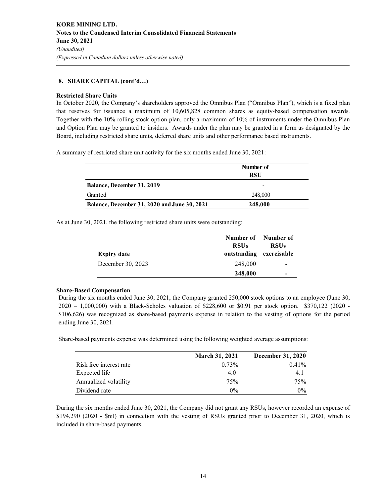# **8. SHARE CAPITAL (cont'd…)**

#### **Restricted Share Units**

In October 2020, the Company's shareholders approved the Omnibus Plan ("Omnibus Plan"), which is a fixed plan that reserves for issuance a maximum of 10,605,828 common shares as equity-based compensation awards. Together with the 10% rolling stock option plan, only a maximum of 10% of instruments under the Omnibus Plan and Option Plan may be granted to insiders. Awards under the plan may be granted in a form as designated by the Board, including restricted share units, deferred share units and other performance based instruments.

A summary of restricted share unit activity for the six months ended June 30, 2021:

|                                                     | Number of  |  |
|-----------------------------------------------------|------------|--|
|                                                     | <b>RSU</b> |  |
| <b>Balance, December 31, 2019</b>                   | -          |  |
| Granted                                             | 248,000    |  |
| <b>Balance, December 31, 2020 and June 30, 2021</b> | 248,000    |  |

As at June 30, 2021, the following restricted share units were outstanding:

| <b>Expiry date</b> | <b>RSUs</b><br>outstanding exercisable | Number of Number of<br><b>RSUs</b> |
|--------------------|----------------------------------------|------------------------------------|
| December 30, 2023  | 248,000                                | -                                  |
|                    | 248,000                                | -                                  |

#### **Share-Based Compensation**

During the six months ended June 30, 2021, the Company granted 250,000 stock options to an employee (June 30, 2020 – 1,000,000) with a Black-Scholes valuation of \$228,600 or \$0.91 per stock option. \$370,122 (2020 - \$106,626) was recognized as share-based payments expense in relation to the vesting of options for the period ending June 30, 2021.

Share-based payments expense was determined using the following weighted average assumptions:

|                         | <b>March 31, 2021</b> | <b>December 31, 2020</b> |
|-------------------------|-----------------------|--------------------------|
| Risk free interest rate | $0.73\%$              | $0.41\%$                 |
| Expected life           | 4.0                   | 4.1                      |
| Annualized volatility   | 75%                   | 75%                      |
| Dividend rate           | $0\%$                 | $0\%$                    |

During the six months ended June 30, 2021, the Company did not grant any RSUs, however recorded an expense of \$194,290 (2020 - \$nil) in connection with the vesting of RSUs granted prior to December 31, 2020, which is included in share-based payments.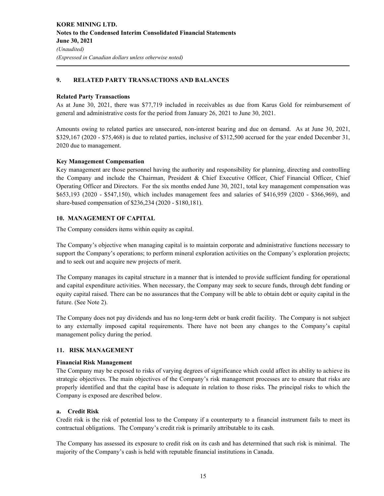# **9. RELATED PARTY TRANSACTIONS AND BALANCES**

#### **Related Party Transactions**

As at June 30, 2021, there was \$77,719 included in receivables as due from Karus Gold for reimbursement of general and administrative costs for the period from January 26, 2021 to June 30, 2021.

Amounts owing to related parties are unsecured, non-interest bearing and due on demand. As at June 30, 2021, \$329,167 (2020 - \$75,468) is due to related parties, inclusive of \$312,500 accrued for the year ended December 31, 2020 due to management.

## **Key Management Compensation**

Key management are those personnel having the authority and responsibility for planning, directing and controlling the Company and include the Chairman, President & Chief Executive Officer, Chief Financial Officer, Chief Operating Officer and Directors. For the six months ended June 30, 2021, total key management compensation was \$653,193 (2020 - \$547,150), which includes management fees and salaries of \$416,959 (2020 - \$366,969), and share-based compensation of \$236,234 (2020 - \$180,181).

## **10. MANAGEMENT OF CAPITAL**

The Company considers items within equity as capital.

The Company's objective when managing capital is to maintain corporate and administrative functions necessary to support the Company's operations; to perform mineral exploration activities on the Company's exploration projects; and to seek out and acquire new projects of merit.

The Company manages its capital structure in a manner that is intended to provide sufficient funding for operational and capital expenditure activities. When necessary, the Company may seek to secure funds, through debt funding or equity capital raised. There can be no assurances that the Company will be able to obtain debt or equity capital in the future. (See Note 2).

The Company does not pay dividends and has no long-term debt or bank credit facility. The Company is not subject to any externally imposed capital requirements. There have not been any changes to the Company's capital management policy during the period.

# **11. RISK MANAGEMENT**

#### **Financial Risk Management**

The Company may be exposed to risks of varying degrees of significance which could affect its ability to achieve its strategic objectives. The main objectives of the Company's risk management processes are to ensure that risks are properly identified and that the capital base is adequate in relation to those risks. The principal risks to which the Company is exposed are described below.

#### **a. Credit Risk**

Credit risk is the risk of potential loss to the Company if a counterparty to a financial instrument fails to meet its contractual obligations. The Company's credit risk is primarily attributable to its cash.

The Company has assessed its exposure to credit risk on its cash and has determined that such risk is minimal. The majority of the Company's cash is held with reputable financial institutions in Canada.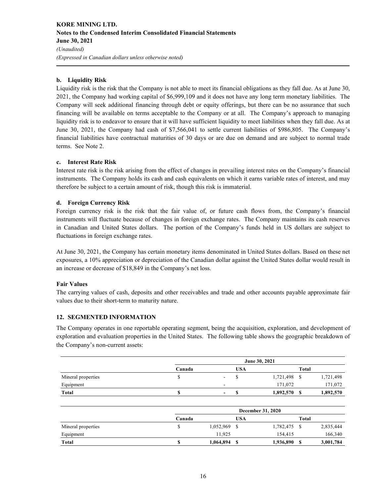# **KORE MINING LTD. Notes to the Condensed Interim Consolidated Financial Statements June 30, 2021**  *(Unaudited) (Expressed in Canadian dollars unless otherwise noted)*

## **b. Liquidity Risk**

Liquidity risk is the risk that the Company is not able to meet its financial obligations as they fall due. As at June 30, 2021, the Company had working capital of \$6,999,109 and it does not have any long term monetary liabilities. The Company will seek additional financing through debt or equity offerings, but there can be no assurance that such financing will be available on terms acceptable to the Company or at all. The Company's approach to managing liquidity risk is to endeavor to ensure that it will have sufficient liquidity to meet liabilities when they fall due. As at June 30, 2021, the Company had cash of \$7,566,041 to settle current liabilities of \$986,805. The Company's financial liabilities have contractual maturities of 30 days or are due on demand and are subject to normal trade terms. See Note 2.

#### **c. Interest Rate Risk**

Interest rate risk is the risk arising from the effect of changes in prevailing interest rates on the Company's financial instruments. The Company holds its cash and cash equivalents on which it earns variable rates of interest, and may therefore be subject to a certain amount of risk, though this risk is immaterial.

## **d. Foreign Currency Risk**

Foreign currency risk is the risk that the fair value of, or future cash flows from, the Company's financial instruments will fluctuate because of changes in foreign exchange rates. The Company maintains its cash reserves in Canadian and United States dollars. The portion of the Company's funds held in US dollars are subject to fluctuations in foreign exchange rates.

At June 30, 2021, the Company has certain monetary items denominated in United States dollars. Based on these net exposures, a 10% appreciation or depreciation of the Canadian dollar against the United States dollar would result in an increase or decrease of \$18,849 in the Company's net loss.

#### **Fair Values**

The carrying values of cash, deposits and other receivables and trade and other accounts payable approximate fair values due to their short-term to maturity nature.

# **12. SEGMENTED INFORMATION**

The Company operates in one reportable operating segment, being the acquisition, exploration, and development of exploration and evaluation properties in the United States. The following table shows the geographic breakdown of the Company's non-current assets:

|                    |        | June 30, 2021            |     |              |       |           |
|--------------------|--------|--------------------------|-----|--------------|-------|-----------|
|                    | Canada |                          | USA |              | Total |           |
| Mineral properties |        | -                        |     | 1,721,498 \$ |       | 1,721,498 |
| Equipment          |        | -                        |     | 171,072      |       | 171,072   |
| Total              |        | $\overline{\phantom{0}}$ |     | 1,892,570    |       | 1,892,570 |

|                    |        | <b>December 31, 2020</b> |            |              |       |           |
|--------------------|--------|--------------------------|------------|--------------|-------|-----------|
|                    | Canada |                          | <b>USA</b> |              | Total |           |
| Mineral properties |        | 1,052,969                | S          | 1,782,475 \$ |       | 2,835,444 |
| Equipment          |        | 11.925                   |            | 154.415      |       | 166,340   |
| Total              |        | 1,064,894                | S          | 1,936,890    |       | 3,001,784 |